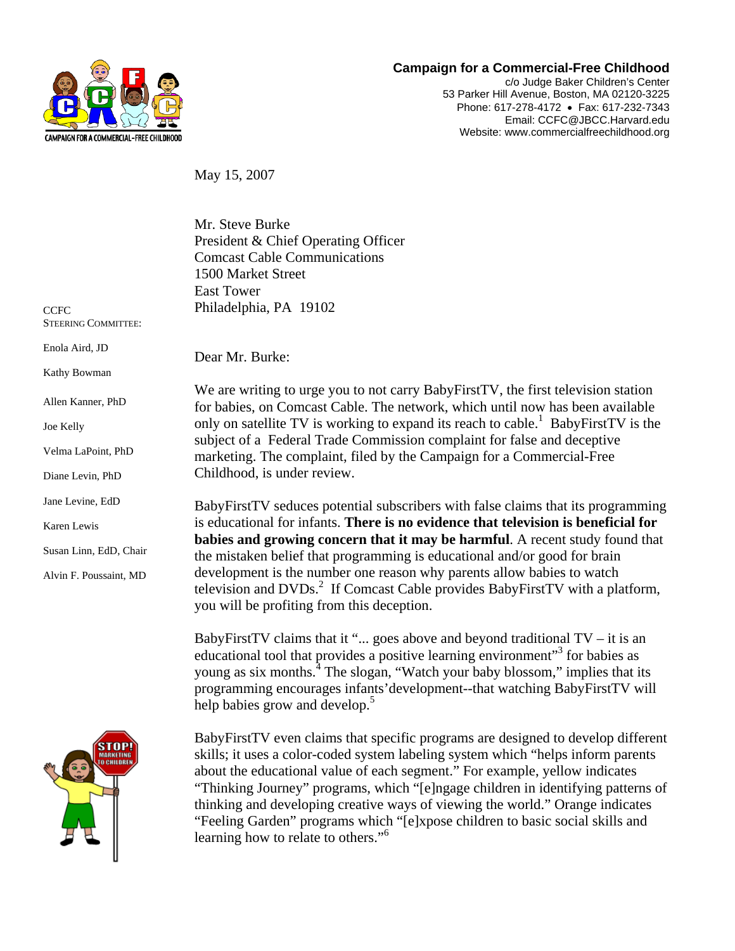

## **Campaign for a Commercial-Free Childhood**

c/o Judge Baker Children's Center 53 Parker Hill Avenue, Boston, MA 02120-3225 Phone: 617-278-4172 • Fax: 617-232-7343 Email: CCFC@JBCC.Harvard.edu Website: www.commercialfreechildhood.org

May 15, 2007

Mr. Steve Burke President & Chief Operating Officer Comcast Cable Communications 1500 Market Street East Tower Philadelphia, PA 19102

**CCFC** STEERING COMMITTEE:

Enola Aird, JD

Kathy Bowman

Allen Kanner, PhD

| ı<br>ĸ | e | ı |
|--------|---|---|
|--------|---|---|

Velma LaPoint, PhD

Diane Levin, PhD

Jane Levine, EdD

Karen Lewis

Susan Linn, EdD, Chair

Alvin F. Poussaint, MD



Dear Mr. Burke:

We are writing to urge you to not carry BabyFirstTV, the first television station for babies, on Comcast Cable. The network, which until now has been available only on satellite TV is working to expand its reach to cable.<sup>1</sup> BabyFirstTV is the subject of a Federal Trade Commission complaint for false and deceptive marketing. The complaint, filed by the Campaign for a Commercial-Free Childhood, is under review.

BabyFirstTV seduces potential subscribers with false claims that its programming is educational for infants. **There is no evidence that television is beneficial for babies and growing concern that it may be harmful**. A recent study found that the mistaken belief that programming is educational and/or good for brain development is the number one reason why parents allow babies to watch television and DVDs.<sup>2</sup> If Comcast Cable provides BabyFirstTV with a platform, you will be profiting from this deception.

BabyFirstTV claims that it "... goes above and beyond traditional  $TV - it$  is an educational tool that provides a positive learning environment"<sup>3</sup> for babies as young as six months.<sup>4</sup> The slogan, "Watch your baby blossom," implies that its programming encourages infants'development--that watching BabyFirstTV will help babies grow and develop.<sup>5</sup>

BabyFirstTV even claims that specific programs are designed to develop different skills; it uses a color-coded system labeling system which "helps inform parents about the educational value of each segment." For example, yellow indicates "Thinking Journey" programs, which "[e]ngage children in identifying patterns of thinking and developing creative ways of viewing the world." Orange indicates "Feeling Garden" programs which "[e]xpose children to basic social skills and learning how to relate to others."<sup>6</sup>